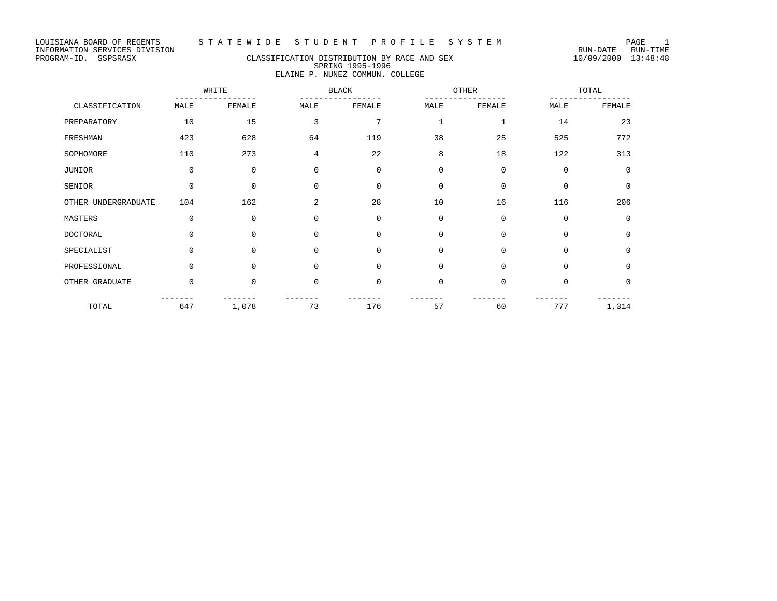# PROGRAM-ID. SSPSRASX CLASSIFICATION DISTRIBUTION BY RACE AND SEX 10/09/2000 13:48:48 SPRING 1995-1996 ELAINE P. NUNEZ COMMUN. COLLEGE

|                     | WHITE       |             | BLACK          |             | OTHER       |             | TOTAL       |             |
|---------------------|-------------|-------------|----------------|-------------|-------------|-------------|-------------|-------------|
| CLASSIFICATION      | MALE        | FEMALE      | MALE           | FEMALE      | MALE        | FEMALE      | MALE        | FEMALE      |
| PREPARATORY         | 10          | 15          | 3              | 7           |             |             | 14          | 23          |
| FRESHMAN            | 423         | 628         | 64             | 119         | 38          | 25          | 525         | 772         |
| SOPHOMORE           | 110         | 273         | 4              | 22          | 8           | 18          | 122         | 313         |
| JUNIOR              | $\mathbf 0$ | $\mathbf 0$ | $\mathbf 0$    | $\Omega$    | $\Omega$    | $\Omega$    | $\Omega$    | $\Omega$    |
| SENIOR              | $\mathbf 0$ | $\mathbf 0$ | $\mathbf 0$    | $\mathbf 0$ | $\Omega$    | $\Omega$    | $\Omega$    | $\mathbf 0$ |
| OTHER UNDERGRADUATE | 104         | 162         | $\overline{a}$ | 28          | 10          | 16          | 116         | 206         |
| MASTERS             | $\mathbf 0$ | $\mathbf 0$ | 0              | $\mathbf 0$ | $\mathbf 0$ | $\mathbf 0$ | $\mathbf 0$ | $\mathbf 0$ |
| DOCTORAL            | $\Omega$    | $\Omega$    | $\mathbf 0$    | $\Omega$    | $\Omega$    | $\Omega$    | $\Omega$    | $\Omega$    |
| SPECIALIST          | $\Omega$    | $\Omega$    | $\Omega$       | $\Omega$    | $\Omega$    | $\Omega$    | $\Omega$    | $\Omega$    |
| PROFESSIONAL        | $\Omega$    | $\Omega$    | $\Omega$       | $\Omega$    | $\mathbf 0$ | $\Omega$    | $\Omega$    | $\mathbf 0$ |
| OTHER GRADUATE      | $\mathbf 0$ | $\mathbf 0$ | $\mathbf 0$    | $\mathbf 0$ | $\mathbf 0$ | $\mathbf 0$ | $\Omega$    | 0           |
| TOTAL               | 647         | 1,078       | 73             | 176         | 57          | 60          | 777         | 1,314       |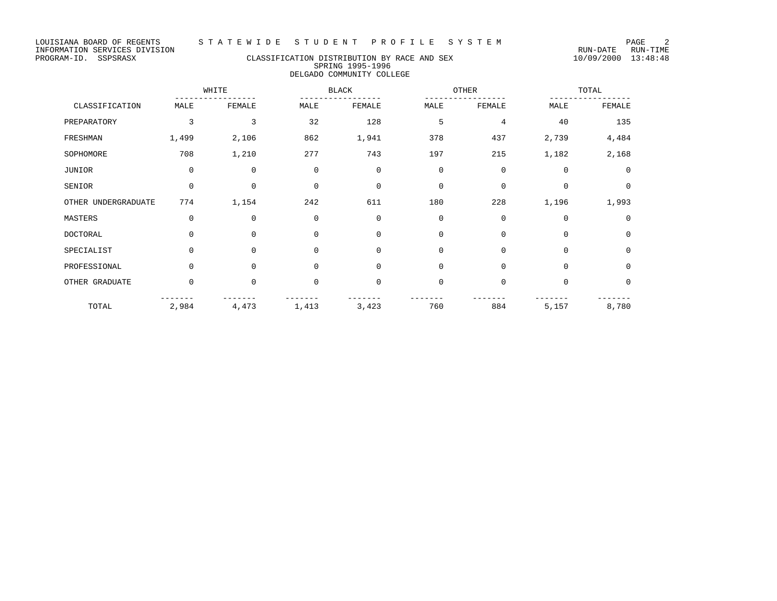# PROGRAM-ID. SSPSRASX CLASSIFICATION DISTRIBUTION BY RACE AND SEX 10/09/2000 13:48:48 SPRING 1995-1996 DELGADO COMMUNITY COLLEGE

|                     |             | WHITE       |             | <b>BLACK</b> |             | OTHER       |             | TOTAL          |  |
|---------------------|-------------|-------------|-------------|--------------|-------------|-------------|-------------|----------------|--|
| CLASSIFICATION      | MALE        | FEMALE      | MALE        | FEMALE       | MALE        | FEMALE      | MALE        | FEMALE         |  |
| PREPARATORY         | 3           | 3           | 32          | 128          | 5           | 4           | 40          | 135            |  |
| FRESHMAN            | 1,499       | 2,106       | 862         | 1,941        | 378         | 437         | 2,739       | 4,484          |  |
| SOPHOMORE           | 708         | 1,210       | 277         | 743          | 197         | 215         | 1,182       | 2,168          |  |
| JUNIOR              | $\mathbf 0$ | $\mathbf 0$ | $\mathbf 0$ | $\mathbf 0$  | $\mathbf 0$ | $\mathbf 0$ | $\Omega$    | $\overline{0}$ |  |
| SENIOR              | $\mathbf 0$ | 0           | $\mathbf 0$ | 0            | $\mathbf 0$ | 0           | $\mathbf 0$ | $\circ$        |  |
| OTHER UNDERGRADUATE | 774         | 1,154       | 242         | 611          | 180         | 228         | 1,196       | 1,993          |  |
| MASTERS             | $\Omega$    | 0           | $\mathbf 0$ | $\mathbf 0$  | $\mathbf 0$ | $\mathbf 0$ | $\Omega$    | $\overline{0}$ |  |
| DOCTORAL            | $\Omega$    | 0           | $\mathbf 0$ | $\mathbf 0$  | $\mathbf 0$ | $\mathbf 0$ | $\mathbf 0$ | $\mathbf 0$    |  |
| SPECIALIST          | $\cap$      | $\Omega$    | $\Omega$    | $\mathbf 0$  | $\Omega$    | $\Omega$    | $\Omega$    | $\mathbf 0$    |  |
| PROFESSIONAL        | $\Omega$    | $\Omega$    | $\mathbf 0$ | $\mathbf 0$  | $\mathbf 0$ | $\mathbf 0$ | $\Omega$    | $\mathbf 0$    |  |
| OTHER GRADUATE      | $\Omega$    | 0           | $\mathbf 0$ | $\mathsf 0$  | $\mathbf 0$ | $\mathbf 0$ | $\mathbf 0$ | $\mathbf{0}$   |  |
| TOTAL               | 2,984       | 4,473       | 1,413       | 3,423        | 760         | 884         | 5,157       | 8,780          |  |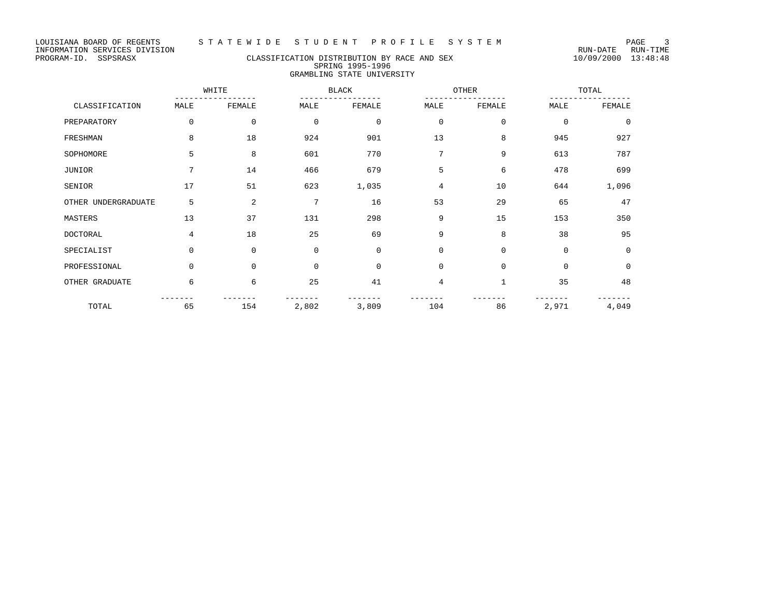# PROGRAM-ID. SSPSRASX CLASSIFICATION DISTRIBUTION BY RACE AND SEX 10/09/2000 13:48:48 SPRING 1995-1996 GRAMBLING STATE UNIVERSITY

|                     |                 | WHITE       |             | <b>BLACK</b> | OTHER    |          |             | TOTAL       |
|---------------------|-----------------|-------------|-------------|--------------|----------|----------|-------------|-------------|
| CLASSIFICATION      | MALE            | FEMALE      | MALE        | FEMALE       | MALE     | FEMALE   | MALE        | FEMALE      |
| PREPARATORY         | $\Omega$        | $\mathbf 0$ | $\mathbf 0$ | 0            | 0        | 0        | $\mathbf 0$ | 0           |
| FRESHMAN            | 8               | 18          | 924         | 901          | 13       | 8        | 945         | 927         |
| SOPHOMORE           | 5               | 8           | 601         | 770          | 7        | 9        | 613         | 787         |
| JUNIOR              | $7\overline{ }$ | 14          | 466         | 679          | 5        | 6        | 478         | 699         |
| SENIOR              | 17              | 51          | 623         | 1,035        | 4        | 10       | 644         | 1,096       |
| OTHER UNDERGRADUATE | 5               | 2           | 7           | 16           | 53       | 29       | 65          | 47          |
| MASTERS             | 13              | 37          | 131         | 298          | 9        | 15       | 153         | 350         |
| DOCTORAL            | 4               | 18          | 25          | 69           | 9        | 8        | 38          | 95          |
| SPECIALIST          | $\Omega$        | $\Omega$    | $\Omega$    | $\Omega$     | $\Omega$ | $\Omega$ | $\Omega$    | $\Omega$    |
| PROFESSIONAL        | $\Omega$        | $\Omega$    | $\Omega$    | $\Omega$     | $\Omega$ | $\Omega$ | $\mathbf 0$ | $\mathbf 0$ |
| OTHER GRADUATE      | 6               | 6           | 25          | 41           | 4        | 1        | 35          | 48          |
| TOTAL               | 65              | 154         | 2,802       | 3,809        | 104      | 86       | 2,971       | 4,049       |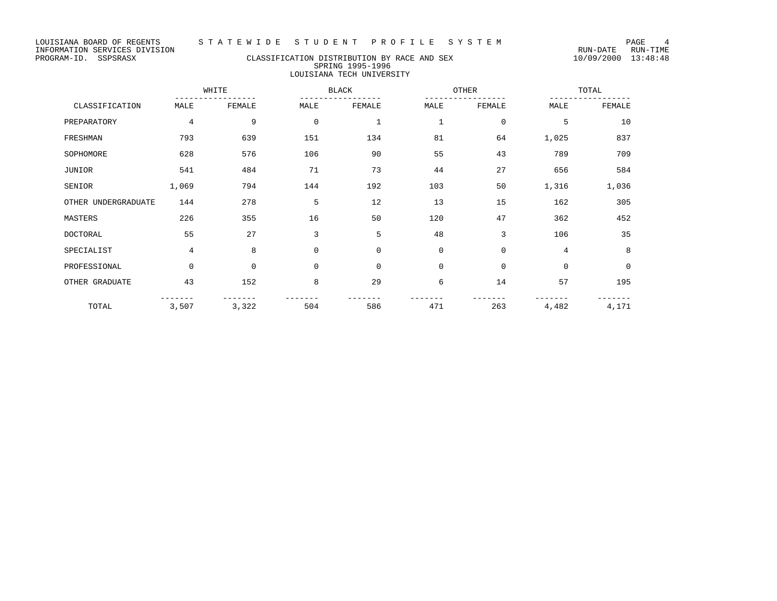# PROGRAM-ID. SSPSRASX CLASSIFICATION DISTRIBUTION BY RACE AND SEX 10/09/2000 13:48:48 SPRING 1995-1996 LOUISIANA TECH UNIVERSITY

|                     |             | WHITE       |             | BLACK        |              | OTHER       |             | TOTAL       |  |
|---------------------|-------------|-------------|-------------|--------------|--------------|-------------|-------------|-------------|--|
| CLASSIFICATION      | MALE        | FEMALE      | MALE        | FEMALE       | MALE         | FEMALE      | MALE        | FEMALE      |  |
| PREPARATORY         | 4           | 9           | $\mathbf 0$ | $\mathbf{1}$ | $\mathbf{1}$ | $\mathbf 0$ | 5           | 10          |  |
| FRESHMAN            | 793         | 639         | 151         | 134          | 81           | 64          | 1,025       | 837         |  |
| SOPHOMORE           | 628         | 576         | 106         | 90           | 55           | 43          | 789         | 709         |  |
| JUNIOR              | 541         | 484         | 71          | 73           | 44           | 27          | 656         | 584         |  |
| SENIOR              | 1,069       | 794         | 144         | 192          | 103          | 50          | 1,316       | 1,036       |  |
| OTHER UNDERGRADUATE | 144         | 278         | 5           | 12           | 13           | 15          | 162         | 305         |  |
| MASTERS             | 226         | 355         | 16          | 50           | 120          | 47          | 362         | 452         |  |
| DOCTORAL            | 55          | 27          | 3           | 5            | 48           | 3           | 106         | 35          |  |
| SPECIALIST          | 4           | 8           | $\Omega$    | $\mathbf 0$  | $\mathbf 0$  | $\mathbf 0$ | 4           | 8           |  |
| PROFESSIONAL        | $\mathbf 0$ | $\mathbf 0$ | $\mathbf 0$ | $\mathbf 0$  | $\mathbf 0$  | $\mathbf 0$ | $\mathbf 0$ | $\mathbf 0$ |  |
| OTHER GRADUATE      | 43          | 152         | 8           | 29           | 6            | 14          | 57          | 195         |  |
| TOTAL               | 3,507       | 3,322       | 504         | 586          | 471          | 263         | 4,482       | 4,171       |  |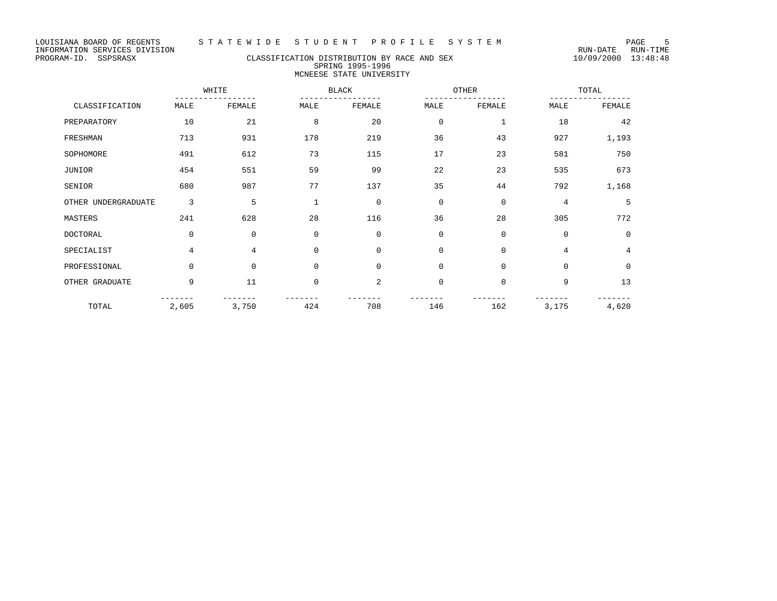# PROGRAM-ID. SSPSRASX CLASSIFICATION DISTRIBUTION BY RACE AND SEX 10/09/2000 13:48:48 SPRING 1995-1996 MCNEESE STATE UNIVERSITY

|                     |             | WHITE       |             | <b>BLACK</b>   | OTHER       |              |             | TOTAL       |  |
|---------------------|-------------|-------------|-------------|----------------|-------------|--------------|-------------|-------------|--|
| CLASSIFICATION      | MALE        | FEMALE      | MALE        | FEMALE         | MALE        | FEMALE       | MALE        | FEMALE      |  |
| PREPARATORY         | 10          | 21          | 8           | 20             | $\mathbf 0$ | $\mathbf{1}$ | 18          | 42          |  |
| FRESHMAN            | 713         | 931         | 178         | 219            | 36          | 43           | 927         | 1,193       |  |
| SOPHOMORE           | 491         | 612         | 73          | 115            | 17          | 23           | 581         | 750         |  |
| JUNIOR              | 454         | 551         | 59          | 99             | 22          | 23           | 535         | 673         |  |
| SENIOR              | 680         | 987         | 77          | 137            | 35          | 44           | 792         | 1,168       |  |
| OTHER UNDERGRADUATE | 3           | 5           | $\mathbf 1$ | $\mathbf{0}$   | $\mathbf 0$ | $\mathbf 0$  | 4           | 5           |  |
| MASTERS             | 241         | 628         | 28          | 116            | 36          | 28           | 305         | 772         |  |
| DOCTORAL            | $\mathbf 0$ | $\mathbf 0$ | 0           | $\mathbf 0$    | $\mathbf 0$ | $\mathbf 0$  | $\mathbf 0$ | 0           |  |
| SPECIALIST          | 4           | 4           | 0           | $\Omega$       | $\mathbf 0$ | $\Omega$     | 4           | 4           |  |
| PROFESSIONAL        | $\mathbf 0$ | $\mathbf 0$ | 0           | $\mathbf 0$    | $\mathbf 0$ | $\mathbf 0$  | $\mathbf 0$ | $\mathbf 0$ |  |
| OTHER GRADUATE      | 9           | 11          | 0           | $\overline{2}$ | $\mathbf 0$ | $\mathbf 0$  | 9           | 13          |  |
| TOTAL               | 2,605       | 3,750       | 424         | 708            | 146         | 162          | 3,175       | 4,620       |  |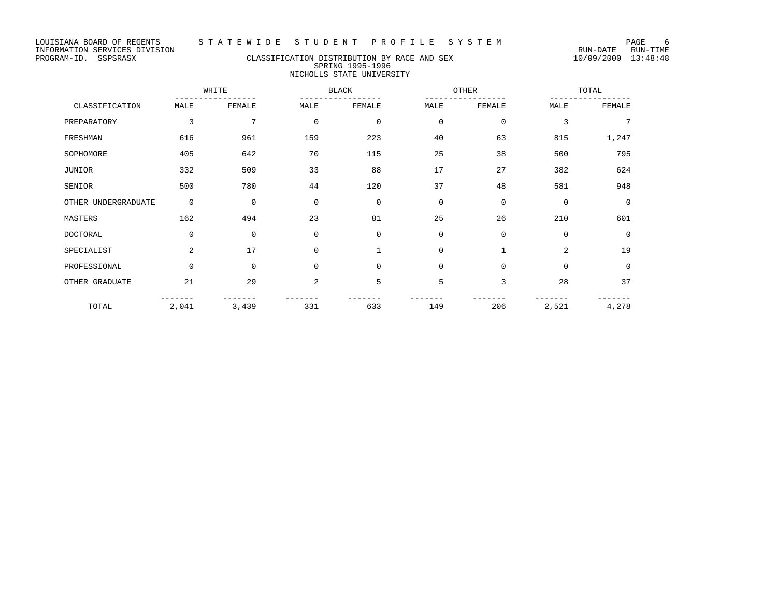# PROGRAM-ID. SSPSRASX CLASSIFICATION DISTRIBUTION BY RACE AND SEX 10/09/2000 13:48:48 SPRING 1995-1996 NICHOLLS STATE UNIVERSITY

|                     |             | WHITE       |                | <b>BLACK</b> | OTHER       |              |             | TOTAL       |  |
|---------------------|-------------|-------------|----------------|--------------|-------------|--------------|-------------|-------------|--|
| CLASSIFICATION      | MALE        | FEMALE      | MALE           | FEMALE       | MALE        | FEMALE       | MALE        | FEMALE      |  |
| PREPARATORY         | 3           | 7           | $\mathbf 0$    | $\mathbf 0$  | $\mathbf 0$ | $\mathbf{0}$ | 3           | 7           |  |
| FRESHMAN            | 616         | 961         | 159            | 223          | 40          | 63           | 815         | 1,247       |  |
| SOPHOMORE           | 405         | 642         | 70             | 115          | 25          | 38           | 500         | 795         |  |
| JUNIOR              | 332         | 509         | 33             | 88           | 17          | 27           | 382         | 624         |  |
| SENIOR              | 500         | 780         | 44             | 120          | 37          | 48           | 581         | 948         |  |
| OTHER UNDERGRADUATE | $\mathbf 0$ | $\mathbf 0$ | $\mathbf 0$    | $\mathbf 0$  | $\mathbf 0$ | $\mathbf 0$  | $\mathbf 0$ | $\Omega$    |  |
| MASTERS             | 162         | 494         | 23             | 81           | 25          | 26           | 210         | 601         |  |
| <b>DOCTORAL</b>     | $\mathbf 0$ | $\mathbf 0$ | $\Omega$       | $\mathbf 0$  | $\Omega$    | $\mathbf{0}$ | $\Omega$    | 0           |  |
| SPECIALIST          | 2           | 17          | $\mathbf 0$    | $\mathbf{1}$ | $\mathbf 0$ | $\mathbf{1}$ | 2           | 19          |  |
| PROFESSIONAL        | $\mathbf 0$ | $\mathbf 0$ | $\Omega$       | $\mathbf 0$  | $\mathbf 0$ | $\mathbf 0$  | $\Omega$    | $\mathbf 0$ |  |
| OTHER GRADUATE      | 21          | 29          | $\overline{2}$ | 5            | 5           | 3            | 28          | 37          |  |
| TOTAL               | 2,041       | 3,439       | 331            | 633          | 149         | 206          | 2,521       | 4,278       |  |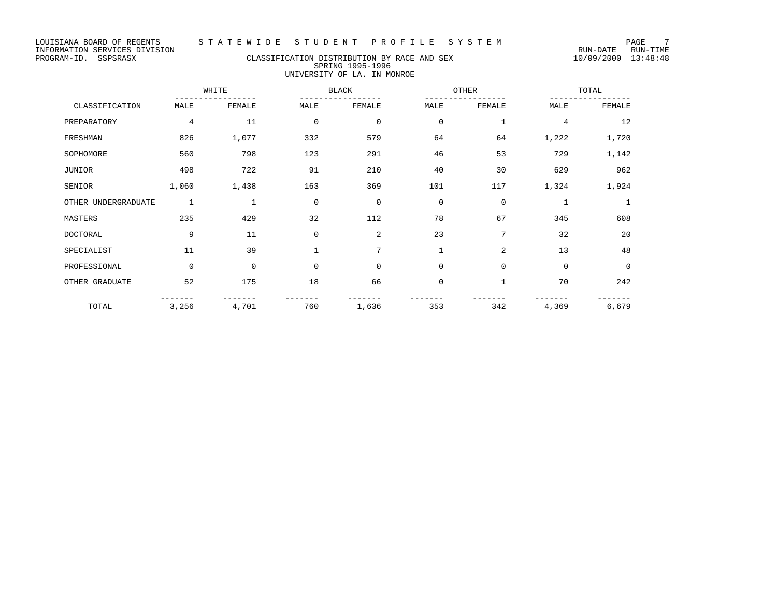# PROGRAM-ID. SSPSRASX CLASSIFICATION DISTRIBUTION BY RACE AND SEX 10/09/2000 13:48:48 SPRING 1995-1996 UNIVERSITY OF LA. IN MONROE

|                     |             | WHITE       |             | <b>BLACK</b> |              | OTHER        |                | TOTAL        |  |
|---------------------|-------------|-------------|-------------|--------------|--------------|--------------|----------------|--------------|--|
| CLASSIFICATION      | MALE        | FEMALE      | MALE        | FEMALE       | MALE         | FEMALE       | MALE           | FEMALE       |  |
| PREPARATORY         | 4           | 11          | $\mathbf 0$ | $\mathbf 0$  | $\mathbf 0$  | 1            | $\overline{4}$ | 12           |  |
| FRESHMAN            | 826         | 1,077       | 332         | 579          | 64           | 64           | 1,222          | 1,720        |  |
| SOPHOMORE           | 560         | 798         | 123         | 291          | 46           | 53           | 729            | 1,142        |  |
| JUNIOR              | 498         | 722         | 91          | 210          | 40           | 30           | 629            | 962          |  |
| SENIOR              | 1,060       | 1,438       | 163         | 369          | 101          | 117          | 1,324          | 1,924        |  |
| OTHER UNDERGRADUATE | 1           | 1           | $\mathbf 0$ | $\mathbf 0$  | $\mathbf 0$  | 0            | $\mathbf{1}$   | $\mathbf{1}$ |  |
| MASTERS             | 235         | 429         | 32          | 112          | 78           | 67           | 345            | 608          |  |
| <b>DOCTORAL</b>     | 9           | 11          | 0           | 2            | 23           | 7            | 32             | 20           |  |
| SPECIALIST          | 11          | 39          |             | 7            | $\mathbf{1}$ | 2            | 13             | 48           |  |
| PROFESSIONAL        | $\mathbf 0$ | $\mathbf 0$ | $\mathbf 0$ | $\mathbf 0$  | $\mathbf 0$  | $\mathbf 0$  | $\mathbf 0$    | $\mathbf 0$  |  |
| OTHER GRADUATE      | 52          | 175         | 18          | 66           | $\mathbf 0$  | $\mathbf{1}$ | 70             | 242          |  |
| TOTAL               | 3,256       | 4,701       | 760         | 1,636        | 353          | 342          | 4,369          | 6,679        |  |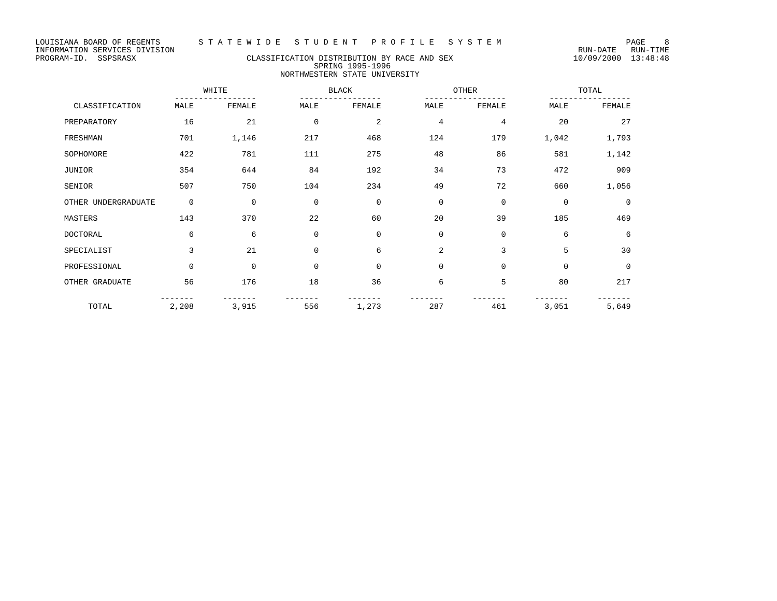# PROGRAM-ID. SSPSRASX CLASSIFICATION DISTRIBUTION BY RACE AND SEX 10/09/2000 13:48:48 SPRING 1995-1996 NORTHWESTERN STATE UNIVERSITY

|                     |             | WHITE       |             | <b>BLACK</b> |             | OTHER       |             | TOTAL       |  |
|---------------------|-------------|-------------|-------------|--------------|-------------|-------------|-------------|-------------|--|
| CLASSIFICATION      | MALE        | FEMALE      | MALE        | FEMALE       | MALE        | FEMALE      | MALE        | FEMALE      |  |
| PREPARATORY         | 16          | 21          | $\mathbf 0$ | 2            | 4           | 4           | 20          | 27          |  |
| FRESHMAN            | 701         | 1,146       | 217         | 468          | 124         | 179         | 1,042       | 1,793       |  |
| SOPHOMORE           | 422         | 781         | 111         | 275          | 48          | 86          | 581         | 1,142       |  |
| JUNIOR              | 354         | 644         | 84          | 192          | 34          | 73          | 472         | 909         |  |
| SENIOR              | 507         | 750         | 104         | 234          | 49          | 72          | 660         | 1,056       |  |
| OTHER UNDERGRADUATE | $\mathbf 0$ | $\mathbf 0$ | $\mathbf 0$ | $\mathbf 0$  | $\mathbf 0$ | $\Omega$    | $\mathbf 0$ | $\mathbf 0$ |  |
| MASTERS             | 143         | 370         | 22          | 60           | 20          | 39          | 185         | 469         |  |
| <b>DOCTORAL</b>     | 6           | 6           | $\mathbf 0$ | $\mathbf 0$  | $\mathbf 0$ | $\mathbf 0$ | 6           | 6           |  |
| SPECIALIST          | 3           | 21          | $\mathbf 0$ | 6            | 2           | 3           | 5           | 30          |  |
| PROFESSIONAL        | $\Omega$    | $\mathbf 0$ | $\Omega$    | $\mathbf 0$  | $\mathbf 0$ | $\Omega$    | $\Omega$    | $\mathbf 0$ |  |
| OTHER GRADUATE      | 56          | 176         | 18          | 36           | 6           | 5           | 80          | 217         |  |
| TOTAL               | 2,208       | 3,915       | 556         | 1,273        | 287         | 461         | 3,051       | 5,649       |  |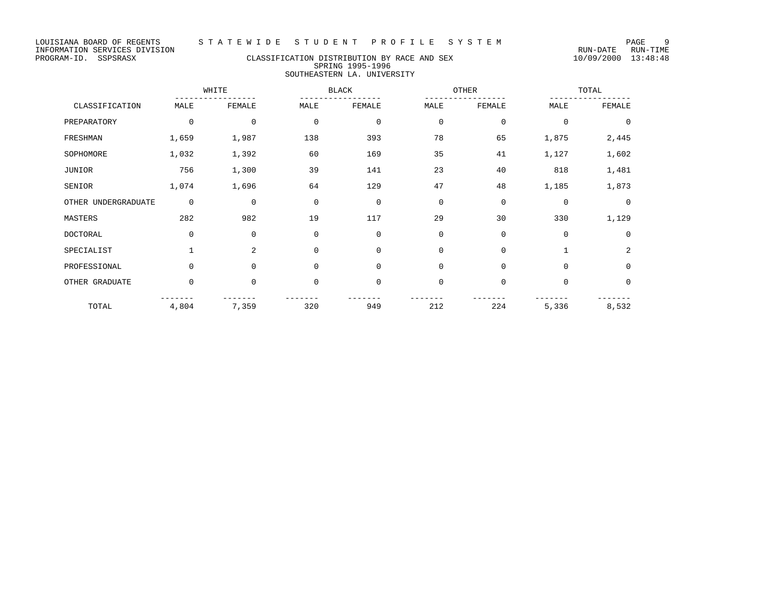# PROGRAM-ID. SSPSRASX CLASSIFICATION DISTRIBUTION BY RACE AND SEX 10/09/2000 13:48:48 SPRING 1995-1996 SOUTHEASTERN LA. UNIVERSITY

|                     |             | WHITE       |             | <b>BLACK</b> |             | OTHER       |             | TOTAL       |  |
|---------------------|-------------|-------------|-------------|--------------|-------------|-------------|-------------|-------------|--|
| CLASSIFICATION      | MALE        | FEMALE      | MALE        | FEMALE       | MALE        | FEMALE      | MALE        | FEMALE      |  |
| PREPARATORY         | $\mathbf 0$ | 0           | $\mathbf 0$ | $\mathbf 0$  | $\mathbf 0$ | $\mathbf 0$ | $\Omega$    | $\Omega$    |  |
| FRESHMAN            | 1,659       | 1,987       | 138         | 393          | 78          | 65          | 1,875       | 2,445       |  |
| SOPHOMORE           | 1,032       | 1,392       | 60          | 169          | 35          | 41          | 1,127       | 1,602       |  |
| JUNIOR              | 756         | 1,300       | 39          | 141          | 23          | 40          | 818         | 1,481       |  |
| SENIOR              | 1,074       | 1,696       | 64          | 129          | 47          | 48          | 1,185       | 1,873       |  |
| OTHER UNDERGRADUATE | $\mathbf 0$ | $\mathbf 0$ | $\mathbf 0$ | $\mathbf 0$  | $\mathbf 0$ | $\mathbf 0$ | $\mathbf 0$ | $\Omega$    |  |
| MASTERS             | 282         | 982         | 19          | 117          | 29          | 30          | 330         | 1,129       |  |
| DOCTORAL            | $\mathbf 0$ | 0           | $\mathbf 0$ | $\mathbf 0$  | $\Omega$    | $\mathbf 0$ | $\Omega$    | $\Omega$    |  |
| SPECIALIST          | 1           | 2           | $\Omega$    | $\mathbf 0$  | $\Omega$    | $\mathbf 0$ | 1           | 2           |  |
| PROFESSIONAL        | $\Omega$    | $\Omega$    | $\mathbf 0$ | $\mathbf 0$  | $\Omega$    | $\mathbf 0$ | $\Omega$    | $\mathbf 0$ |  |
| OTHER GRADUATE      | $\mathbf 0$ | 0           | $\mathbf 0$ | $\mathbf 0$  | $\mathbf 0$ | $\mathbf 0$ | $\mathbf 0$ | $\mathbf 0$ |  |
| TOTAL               | 4,804       | 7,359       | 320         | 949          | 212         | 224         | 5,336       | 8,532       |  |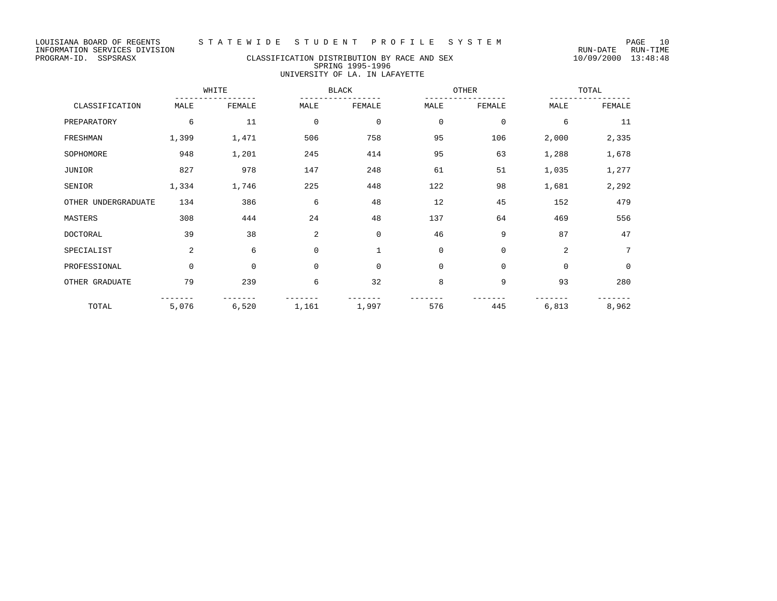LOUISIANA BOARD OF REGENTS STA TE WIDE STUDENT PROFILE SYSTEM NAGE 10

# PROGRAM-ID. SSPSRASX CLASSIFICATION DISTRIBUTION BY RACE AND SEX 10/09/2000 13:48:48 SPRING 1995-1996 UNIVERSITY OF LA. IN LAFAYETTE

|                     |             | WHITE  | <b>BLACK</b> |             |             | OTHER        | TOTAL          |             |
|---------------------|-------------|--------|--------------|-------------|-------------|--------------|----------------|-------------|
| CLASSIFICATION      | MALE        | FEMALE | MALE         | FEMALE      | MALE        | FEMALE       | MALE           | FEMALE      |
| PREPARATORY         | 6           | 11     | $\mathbf 0$  | $\mathbf 0$ | $\mathbf 0$ | $\mathbf 0$  | 6              | 11          |
| FRESHMAN            | 1,399       | 1,471  | 506          | 758         | 95          | 106          | 2,000          | 2,335       |
| SOPHOMORE           | 948         | 1,201  | 245          | 414         | 95          | 63           | 1,288          | 1,678       |
| JUNIOR              | 827         | 978    | 147          | 248         | 61          | 51           | 1,035          | 1,277       |
| SENIOR              | 1,334       | 1,746  | 225          | 448         | 122         | 98           | 1,681          | 2,292       |
| OTHER UNDERGRADUATE | 134         | 386    | 6            | 48          | 12          | 45           | 152            | 479         |
| MASTERS             | 308         | 444    | 24           | 48          | 137         | 64           | 469            | 556         |
| <b>DOCTORAL</b>     | 39          | 38     | 2            | $\mathbf 0$ | 46          | 9            | 87             | 47          |
| SPECIALIST          | 2           | 6      | $\mathbf 0$  | 1           | $\mathbf 0$ | $\mathbf 0$  | $\overline{a}$ | 7           |
| PROFESSIONAL        | $\mathbf 0$ | 0      | $\mathbf 0$  | $\mathbf 0$ | $\mathbf 0$ | $\mathbf{0}$ | $\Omega$       | $\mathbf 0$ |
| OTHER GRADUATE      | 79          | 239    | 6            | 32          | 8           | 9            | 93             | 280         |
| TOTAL               | 5,076       | 6,520  | 1,161        | 1,997       | 576         | 445          | 6,813          | 8,962       |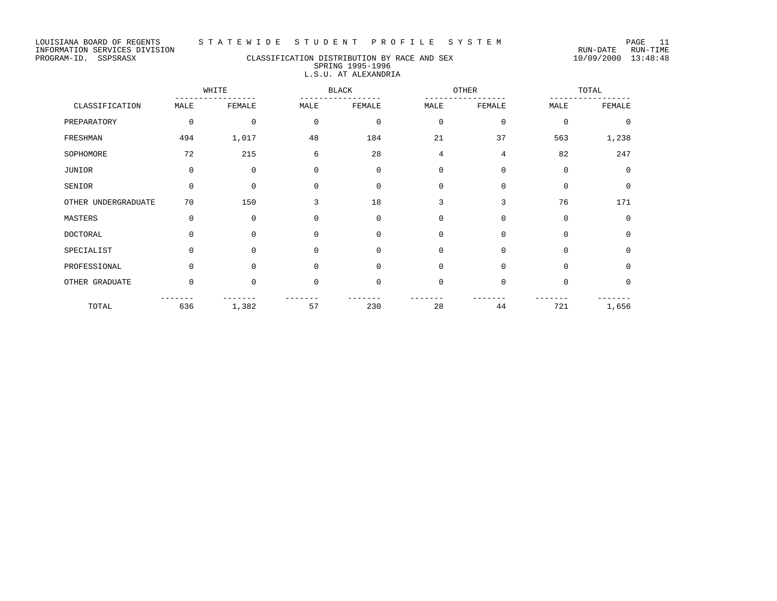# PROGRAM-ID. SSPSRASX CLASSIFICATION DISTRIBUTION BY RACE AND SEX 10/09/2000 13:48:48 SPRING 1995-1996 L.S.U. AT ALEXANDRIA

|                     |             | WHITE    |             | <b>BLACK</b> |             | OTHER       |             | TOTAL       |
|---------------------|-------------|----------|-------------|--------------|-------------|-------------|-------------|-------------|
| CLASSIFICATION      | MALE        | FEMALE   | MALE        | FEMALE       | MALE        | FEMALE      | MALE        | FEMALE      |
| PREPARATORY         | $\mathbf 0$ | $\Omega$ | $\mathbf 0$ | $\mathbf 0$  | $\mathbf 0$ | $\Omega$    | $\mathbf 0$ | $\mathbf 0$ |
| FRESHMAN            | 494         | 1,017    | 48          | 184          | 21          | 37          | 563         | 1,238       |
| SOPHOMORE           | 72          | 215      | 6           | 28           | 4           | 4           | 82          | 247         |
| JUNIOR              | $\Omega$    | $\Omega$ | $\Omega$    | $\mathbf 0$  | $\Omega$    | $\Omega$    | $\mathbf 0$ | $\circ$     |
| SENIOR              | $\mathbf 0$ | $\Omega$ | $\mathbf 0$ | $\mathbf 0$  | $\Omega$    | $\Omega$    | $\mathbf 0$ | $\mathbf 0$ |
| OTHER UNDERGRADUATE | 70          | 150      | 3           | 18           | 3           | 3           | 76          | 171         |
| MASTERS             | $\mathbf 0$ | 0        | $\Omega$    | $\mathbf 0$  | $\Omega$    | $\mathbf 0$ | $\mathbf 0$ | $\mathbf 0$ |
| DOCTORAL            | $\Omega$    | $\Omega$ | $\Omega$    | $\mathbf 0$  | $\Omega$    | $\Omega$    | $\Omega$    | $\mathbf 0$ |
| SPECIALIST          | $\Omega$    | $\Omega$ | $\Omega$    | $\Omega$     | $\Omega$    | $\Omega$    | $\Omega$    | $\Omega$    |
| PROFESSIONAL        | $\Omega$    | $\Omega$ | $\Omega$    | $\mathbf 0$  | $\Omega$    | $\Omega$    | $\mathbf 0$ | $\mathbf 0$ |
| OTHER GRADUATE      | $\Omega$    | $\Omega$ | $\mathbf 0$ | $\mathbf 0$  | $\mathbf 0$ | $\mathbf 0$ | $\Omega$    | $\mathbf 0$ |
| TOTAL               | 636         | 1,382    | 57          | 230          | 28          | 44          | 721         | 1,656       |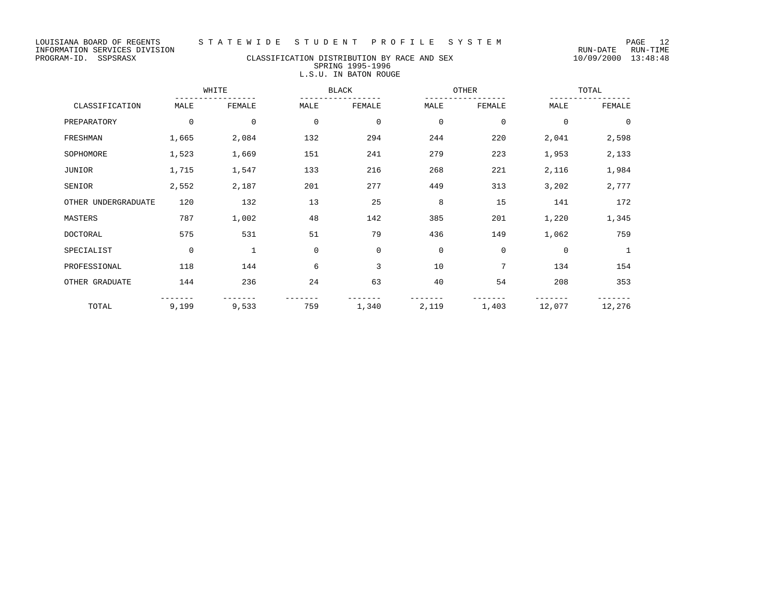# PROGRAM-ID. SSPSRASX CLASSIFICATION DISTRIBUTION BY RACE AND SEX 10/09/2000 13:48:48 SPRING 1995-1996 L.S.U. IN BATON ROUGE

|                     |             | WHITE        |             | BLACK       |             | OTHER       |             | TOTAL          |  |
|---------------------|-------------|--------------|-------------|-------------|-------------|-------------|-------------|----------------|--|
| CLASSIFICATION      | MALE        | FEMALE       | MALE        | FEMALE      | MALE        | FEMALE      | MALE        | FEMALE         |  |
| PREPARATORY         | $\mathbf 0$ | $\mathbf 0$  | $\mathbf 0$ | $\mathbf 0$ | $\mathbf 0$ | $\mathbf 0$ | $\mathbf 0$ | $\overline{0}$ |  |
| FRESHMAN            | 1,665       | 2,084        | 132         | 294         | 244         | 220         | 2,041       | 2,598          |  |
| SOPHOMORE           | 1,523       | 1,669        | 151         | 241         | 279         | 223         | 1,953       | 2,133          |  |
| JUNIOR              | 1,715       | 1,547        | 133         | 216         | 268         | 221         | 2,116       | 1,984          |  |
| SENIOR              | 2,552       | 2,187        | 201         | 277         | 449         | 313         | 3,202       | 2,777          |  |
| OTHER UNDERGRADUATE | 120         | 132          | 13          | 25          | 8           | 15          | 141         | 172            |  |
| MASTERS             | 787         | 1,002        | 48          | 142         | 385         | 201         | 1,220       | 1,345          |  |
| DOCTORAL            | 575         | 531          | 51          | 79          | 436         | 149         | 1,062       | 759            |  |
| SPECIALIST          | $\mathbf 0$ | $\mathbf{1}$ | $\mathbf 0$ | $\mathbf 0$ | $\mathbf 0$ | $\mathbf 0$ | $\Omega$    | -1             |  |
| PROFESSIONAL        | 118         | 144          | 6           | 3           | 10          | 7           | 134         | 154            |  |
| OTHER GRADUATE      | 144         | 236          | 24          | 63          | 40          | 54          | 208         | 353            |  |
| TOTAL               | 9,199       | 9,533        | 759         | 1,340       | 2,119       | 1,403       | 12,077      | 12,276         |  |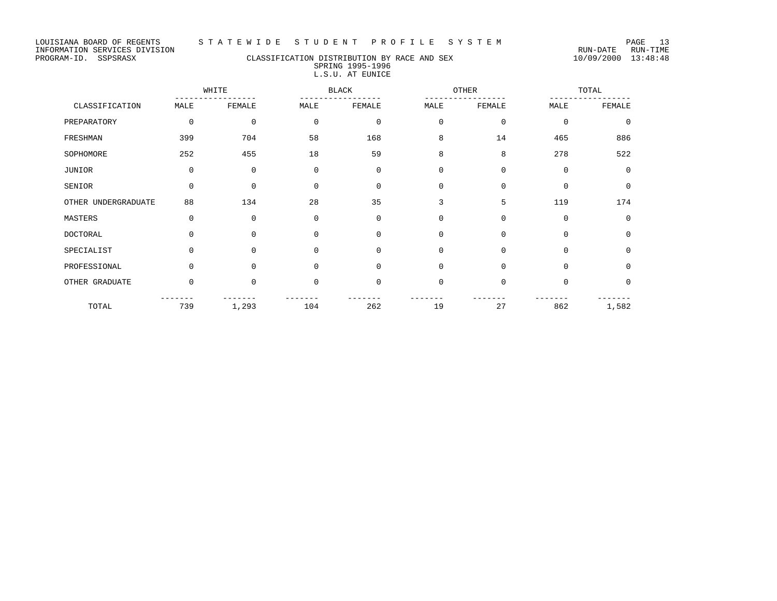# PROGRAM-ID. SSPSRASX CLASSIFICATION DISTRIBUTION BY RACE AND SEX 10/09/2000 13:48:48 SPRING 1995-1996 L.S.U. AT EUNICE

|                     | WHITE    |              | <b>BLACK</b> |             | OTHER       |             | TOTAL       |             |
|---------------------|----------|--------------|--------------|-------------|-------------|-------------|-------------|-------------|
| CLASSIFICATION      | MALE     | FEMALE       | MALE         | FEMALE      | MALE        | FEMALE      | MALE        | FEMALE      |
| PREPARATORY         | 0        | $\mathbf{0}$ | $\mathbf 0$  | $\mathbf 0$ | $\mathbf 0$ | $\mathbf 0$ | $\mathbf 0$ | $\Omega$    |
| FRESHMAN            | 399      | 704          | 58           | 168         | 8           | 14          | 465         | 886         |
| SOPHOMORE           | 252      | 455          | 18           | 59          | 8           | 8           | 278         | 522         |
| <b>JUNIOR</b>       | 0        | $\mathbf 0$  | $\mathbf 0$  | $\mathbf 0$ | $\mathbf 0$ | $\mathbf 0$ | $\mathbf 0$ | $\mathbf 0$ |
| SENIOR              | 0        | $\mathbf{0}$ | $\mathbf 0$  | $\mathbf 0$ | 0           | $\mathbf 0$ | $\mathbf 0$ | 0           |
| OTHER UNDERGRADUATE | 88       | 134          | 28           | 35          | 3           | 5           | 119         | 174         |
| MASTERS             | 0        | 0            | $\mathbf 0$  | $\mathbf 0$ | $\mathbf 0$ | $\mathbf 0$ | $\mathbf 0$ | $\mathbf 0$ |
| DOCTORAL            | $\Omega$ | $\Omega$     | $\Omega$     | $\mathbf 0$ | $\mathbf 0$ | $\mathbf 0$ | $\Omega$    | 0           |
| SPECIALIST          | $\Omega$ | $\Omega$     | $\Omega$     | $\mathbf 0$ | $\mathbf 0$ | $\mathbf 0$ | $\Omega$    | $\Omega$    |
| PROFESSIONAL        | 0        | $\mathbf 0$  | $\mathbf 0$  | $\mathbf 0$ | 0           | $\mathbf 0$ | $\mathbf 0$ | $\mathbf 0$ |
| OTHER GRADUATE      | $\Omega$ | $\Omega$     | $\Omega$     | $\mathbf 0$ | $\mathbf 0$ | $\Omega$    | $\Omega$    | $\mathbf 0$ |
| TOTAL               | 739      | 1,293        | 104          | 262         | 19          | 27          | 862         | 1,582       |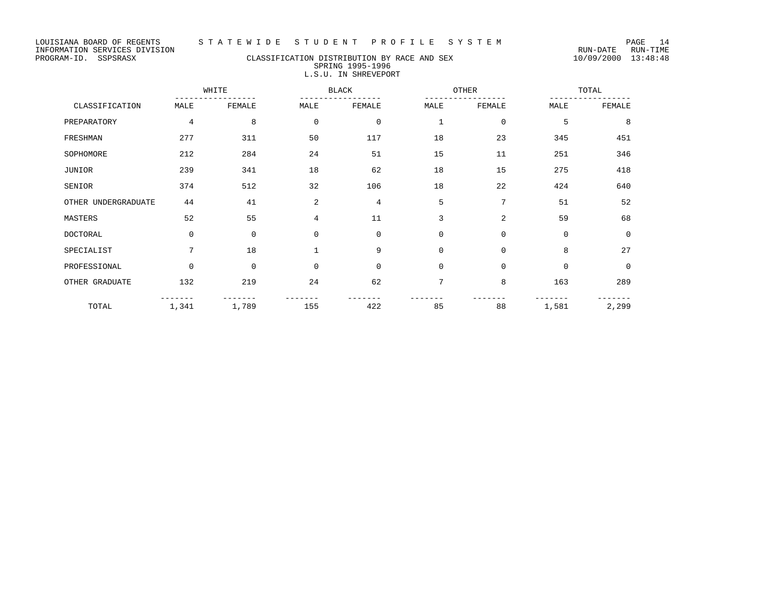# PROGRAM-ID. SSPSRASX CLASSIFICATION DISTRIBUTION BY RACE AND SEX 10/09/2000 13:48:48 SPRING 1995-1996 L.S.U. IN SHREVEPORT

|                     | WHITE |              |                | <b>BLACK</b> |              | OTHER        | TOTAL       |             |
|---------------------|-------|--------------|----------------|--------------|--------------|--------------|-------------|-------------|
| CLASSIFICATION      | MALE  | FEMALE       | MALE           | FEMALE       | MALE         | FEMALE       | MALE        | FEMALE      |
| PREPARATORY         | 4     | 8            | $\mathbf 0$    | $\mathbf 0$  | $\mathbf{1}$ | $\mathbf{0}$ | 5           | 8           |
| FRESHMAN            | 277   | 311          | 50             | 117          | 18           | 23           | 345         | 451         |
| SOPHOMORE           | 212   | 284          | 24             | 51           | 15           | 11           | 251         | 346         |
| <b>JUNIOR</b>       | 239   | 341          | 18             | 62           | 18           | 15           | 275         | 418         |
| SENIOR              | 374   | 512          | 32             | 106          | 18           | 22           | 424         | 640         |
| OTHER UNDERGRADUATE | 44    | 41           | $\overline{a}$ | 4            | 5            | 7            | 51          | 52          |
| MASTERS             | 52    | 55           | 4              | 11           | 3            | 2            | 59          | 68          |
| DOCTORAL            | 0     | $\mathbf{0}$ | $\mathbf 0$    | $\mathbf 0$  | $\mathbf 0$  | $\mathbf 0$  | $\mathbf 0$ | 0           |
| SPECIALIST          | 7     | 18           | $\mathbf{1}$   | 9            | $\mathbf 0$  | $\Omega$     | 8           | 27          |
| PROFESSIONAL        | 0     | $\mathbf 0$  | $\mathbf 0$    | $\mathbf 0$  | 0            | $\mathbf 0$  | $\mathbf 0$ | $\mathbf 0$ |
| OTHER GRADUATE      | 132   | 219          | 24             | 62           | 7            | 8            | 163         | 289         |
| TOTAL               | 1,341 | 1,789        | 155            | 422          | 85           | 88           | 1,581       | 2,299       |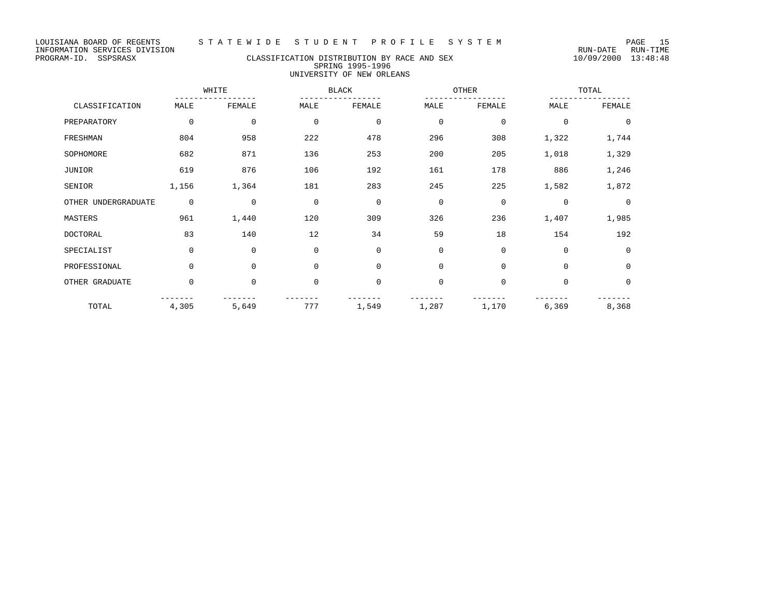LOUISIANA BOARD OF REGENTS STATEWIDE STUDENT PROFILE SYSTEM PAGE 15<br>INFORMATION SERVICES DIVISION INFORMATION SERVICES DIVISION<br>PROGRAM-ID. SSPSRASX CLASSIFICATION DISTRIBUTION BY RACE AND SEX 10/09/2000 13:48:48

#### CLASSIFICATION DISTRIBUTION BY RACE AND SEX SPRING 1995-1996 UNIVERSITY OF NEW ORLEANS

WHITE BLACK OTHER TOTAL ----------------- ----------------- ----------------- ----------------- CLASSIFICATION MALE FEMALE PREPARATORY 0 0 0 0 0 0 0 0 FRESHMAN 804 958 222 478 296 308 1,322 1,744 SOPHOMORE 682 871 136 253 200 205 1,018 1,329 JUNIOR 619 876 106 192 161 178 886 1,246 SENIOR 1,156 1,364 181 283 245 225 1,582 1,872 OTHER UNDERGRADUATE 0 0 0 0 0 0 0 0 MASTERS 961 1,440 120 309 326 236 1,407 1,985 DOCTORAL 83 140 12 34 59 18 154 192 SPECIALIST 0 0 0 0 0 0 0 0 PROFESSIONAL 0 0 0 0 0 0 0 0 OTHER GRADUATE 0 0 0 0 0 0 0 0 ------- ------- ------- ------- ------- ------- ------- ------- TOTAL 4,305 5,649 777 1,549 1,287 1,170 6,369 8,368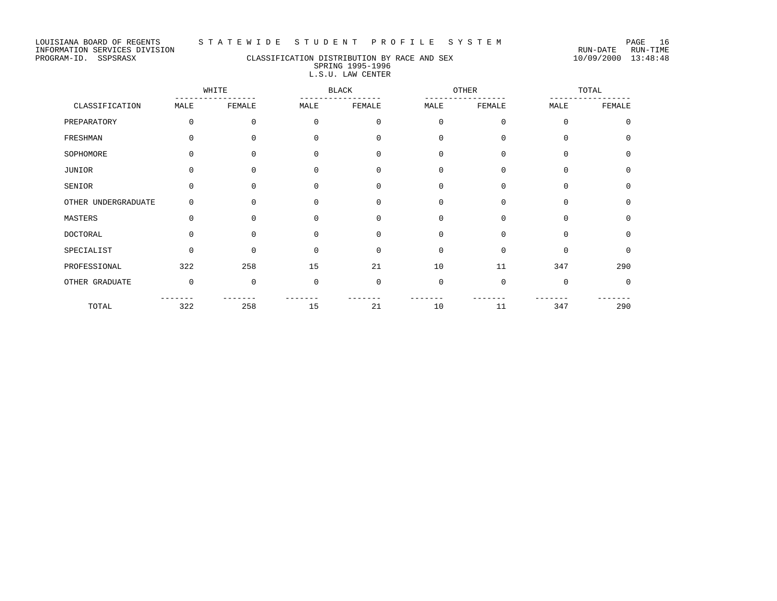#### PROGRAM-ID. SSPSRASX CLASSIFICATION DISTRIBUTION BY RACE AND SEX 10/09/2000 13:48:48 SPRING 1995-1996 L.S.U. LAW CENTER

|                     | WHITE       |             | <b>BLACK</b> |             | OTHER       |             | TOTAL       |             |
|---------------------|-------------|-------------|--------------|-------------|-------------|-------------|-------------|-------------|
| CLASSIFICATION      | MALE        | FEMALE      | MALE         | FEMALE      | MALE        | FEMALE      | MALE        | FEMALE      |
| PREPARATORY         | 0           | $\mathbf 0$ | $\mathbf 0$  | 0           | $\mathbf 0$ | $\mathsf 0$ | $\Omega$    | $\Omega$    |
| FRESHMAN            | 0           | $\mathbf 0$ | 0            | $\mathbf 0$ | $\mathbf 0$ | $\mathbf 0$ | 0           | 0           |
| SOPHOMORE           | 0           | $\Omega$    | $\Omega$     | $\mathbf 0$ | $\mathbf 0$ | $\mathbf 0$ | 0           | $\mathbf 0$ |
| JUNIOR              | 0           | $\Omega$    | $\Omega$     | $\Omega$    | $\mathbf 0$ | $\mathbf 0$ | $\Omega$    | $\Omega$    |
| SENIOR              | 0           | $\mathbf 0$ | 0            | $\mathbf 0$ | $\mathbf 0$ | $\mathbf 0$ | $\mathbf 0$ | 0           |
| OTHER UNDERGRADUATE | 0           | $\Omega$    | $\Omega$     | $\mathbf 0$ | 0           | $\mathbf 0$ | 0           | 0           |
| MASTERS             | $\mathbf 0$ | $\Omega$    | 0            | $\mathbf 0$ | $\mathbf 0$ | $\mathbf 0$ | $\Omega$    | $\Omega$    |
| <b>DOCTORAL</b>     | $\Omega$    | $\Omega$    | $\Omega$     | $\Omega$    | $\Omega$    | $\mathbf 0$ | $\Omega$    | $\Omega$    |
| SPECIALIST          | $\Omega$    | $\Omega$    | $\Omega$     | $\mathbf 0$ | $\mathbf 0$ | $\mathbf 0$ | $\Omega$    | $\Omega$    |
| PROFESSIONAL        | 322         | 258         | 15           | 21          | 10          | 11          | 347         | 290         |
| OTHER GRADUATE      | $\mathbf 0$ | $\mathbf 0$ | $\mathbf 0$  | $\mathbf 0$ | $\mathbf 0$ | $\mathbf 0$ | $\mathbf 0$ | $\mathbf 0$ |
| TOTAL               | 322         | 258         | 15           | 21          | 10          | 11          | 347         | 290         |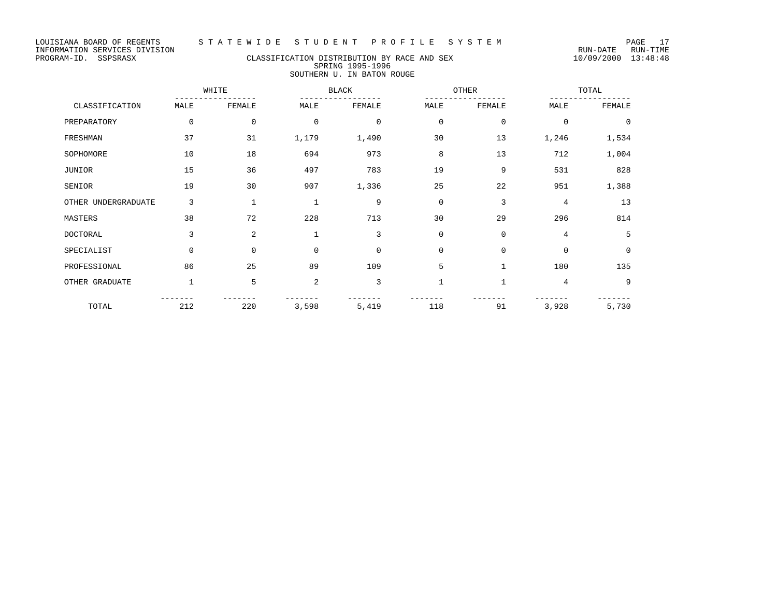# PROGRAM-ID. SSPSRASX CLASSIFICATION DISTRIBUTION BY RACE AND SEX 10/09/2000 13:48:48 SPRING 1995-1996 SOUTHERN U. IN BATON ROUGE

|                     | WHITE       |              | <b>BLACK</b>   |             | OTHER        |              | TOTAL    |          |
|---------------------|-------------|--------------|----------------|-------------|--------------|--------------|----------|----------|
| CLASSIFICATION      | MALE        | FEMALE       | MALE           | FEMALE      | MALE         | FEMALE       | MALE     | FEMALE   |
| PREPARATORY         | $\mathbf 0$ | 0            | $\mathbf 0$    | $\mathbf 0$ | $\mathbf 0$  | $\mathbf 0$  | $\Omega$ | $\Omega$ |
| FRESHMAN            | 37          | 31           | 1,179          | 1,490       | 30           | 13           | 1,246    | 1,534    |
| SOPHOMORE           | 10          | 18           | 694            | 973         | 8            | 13           | 712      | 1,004    |
| JUNIOR              | 15          | 36           | 497            | 783         | 19           | 9            | 531      | 828      |
| SENIOR              | 19          | 30           | 907            | 1,336       | 25           | 22           | 951      | 1,388    |
| OTHER UNDERGRADUATE | 3           | $\mathbf{1}$ | 1              | 9           | $\Omega$     | 3            | 4        | 13       |
| MASTERS             | 38          | 72           | 228            | 713         | 30           | 29           | 296      | 814      |
| <b>DOCTORAL</b>     | 3           | 2            |                | 3           | $\Omega$     | $\mathbf{0}$ | 4        | 5        |
| SPECIALIST          | $\mathbf 0$ | $\Omega$     | $\Omega$       | $\mathbf 0$ | $\mathbf 0$  | $\mathbf 0$  | $\Omega$ | $\Omega$ |
| PROFESSIONAL        | 86          | 25           | 89             | 109         | 5            | $\mathbf{1}$ | 180      | 135      |
| OTHER GRADUATE      |             | 5            | $\overline{2}$ | 3           | $\mathbf{1}$ | $\mathbf{1}$ | 4        | 9        |
| TOTAL               | 212         | 220          | 3,598          | 5,419       | 118          | 91           | 3,928    | 5,730    |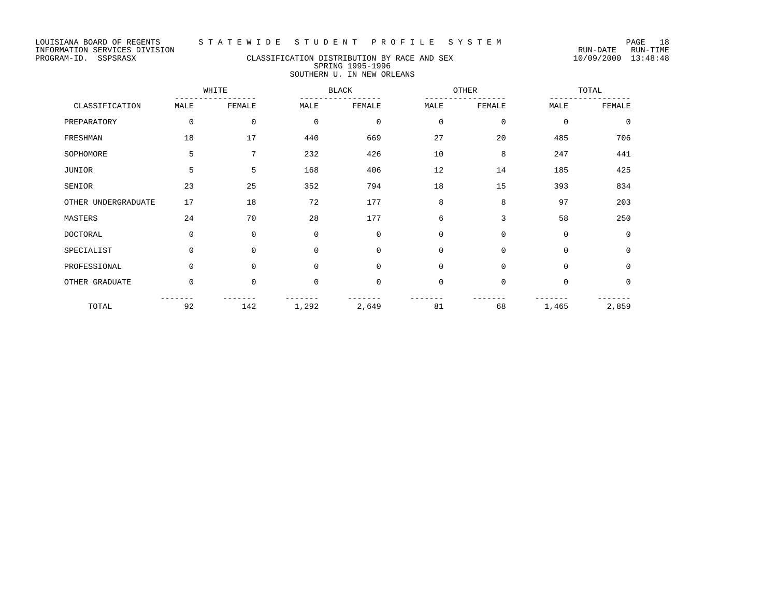# PROGRAM-ID. SSPSRASX CLASSIFICATION DISTRIBUTION BY RACE AND SEX 10/09/2000 13:48:48 SPRING 1995-1996 SOUTHERN U. IN NEW ORLEANS

|                     | WHITE       |          | <b>BLACK</b> |             |             | OTHER        | TOTAL       |          |
|---------------------|-------------|----------|--------------|-------------|-------------|--------------|-------------|----------|
| CLASSIFICATION      | MALE        | FEMALE   | MALE         | FEMALE      | MALE        | FEMALE       | MALE        | FEMALE   |
| PREPARATORY         | $\mathbf 0$ | 0        | $\mathbf 0$  | $\mathbf 0$ | $\mathbf 0$ | $\mathbf{0}$ | $\mathbf 0$ | $\Omega$ |
| FRESHMAN            | 18          | 17       | 440          | 669         | 27          | 20           | 485         | 706      |
| SOPHOMORE           | 5           | 7        | 232          | 426         | 10          | 8            | 247         | 441      |
| JUNIOR              | 5           | 5        | 168          | 406         | 12          | 14           | 185         | 425      |
| SENIOR              | 23          | 25       | 352          | 794         | 18          | 15           | 393         | 834      |
| OTHER UNDERGRADUATE | 17          | 18       | 72           | 177         | 8           | 8            | 97          | 203      |
| MASTERS             | 24          | 70       | 28           | 177         | 6           | 3            | 58          | 250      |
| <b>DOCTORAL</b>     | $\Omega$    | $\Omega$ | $\Omega$     | $\Omega$    | $\Omega$    | $\Omega$     | $\mathbf 0$ | $\Omega$ |
| SPECIALIST          | $\mathbf 0$ | $\Omega$ | $\Omega$     | $\Omega$    | $\Omega$    | $\Omega$     | $\mathbf 0$ | $\Omega$ |
| PROFESSIONAL        | $\mathbf 0$ | $\Omega$ | $\mathbf 0$  | $\Omega$    | $\mathbf 0$ | $\mathbf 0$  | $\mathbf 0$ | 0        |
| OTHER GRADUATE      | $\mathbf 0$ | 0        | $\mathbf 0$  | $\mathbf 0$ | $\mathbf 0$ | $\mathbf 0$  | $\mathbf 0$ | 0        |
| TOTAL               | 92          | 142      | 1,292        | 2,649       | 81          | 68           | 1,465       | 2,859    |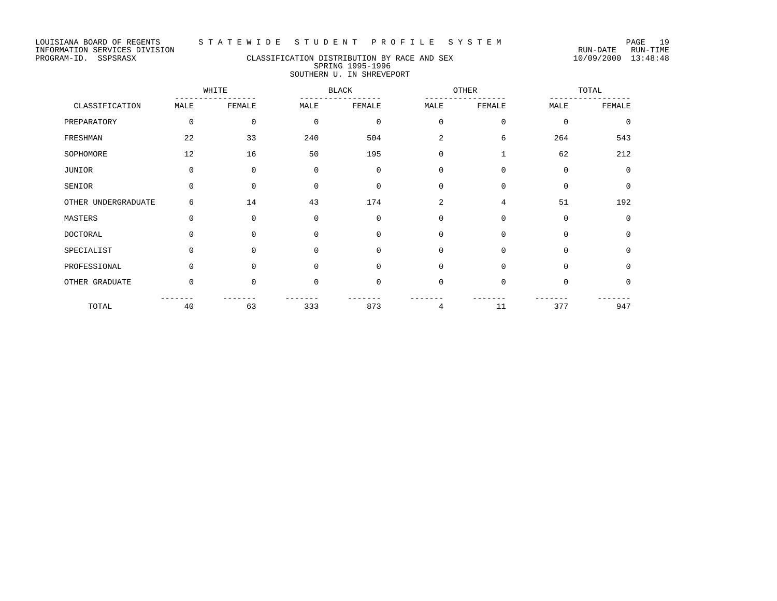# PROGRAM-ID. SSPSRASX CLASSIFICATION DISTRIBUTION BY RACE AND SEX 10/09/2000 13:48:48 SPRING 1995-1996 SOUTHERN U. IN SHREVEPORT

|                     | WHITE       |             | <b>BLACK</b> |             | OTHER          |              | TOTAL       |             |
|---------------------|-------------|-------------|--------------|-------------|----------------|--------------|-------------|-------------|
| CLASSIFICATION      | MALE        | FEMALE      | MALE         | FEMALE      | MALE           | FEMALE       | MALE        | FEMALE      |
| PREPARATORY         | $\mathbf 0$ | $\mathbf 0$ | $\mathbf 0$  | $\mathbf 0$ | $\mathbf 0$    | $\mathbf 0$  | $\mathbf 0$ | $\mathbf 0$ |
| FRESHMAN            | 22          | 33          | 240          | 504         | $\overline{a}$ | 6            | 264         | 543         |
| SOPHOMORE           | 12          | 16          | 50           | 195         | $\Omega$       | $\mathbf{1}$ | 62          | 212         |
| JUNIOR              | $\Omega$    | $\Omega$    | $\Omega$     | $\mathbf 0$ | $\Omega$       | $\mathbf 0$  | $\mathbf 0$ | $\Omega$    |
| SENIOR              | $\Omega$    | $\Omega$    | $\Omega$     | $\mathbf 0$ | $\Omega$       | $\mathbf 0$  | $\Omega$    | $\mathbf 0$ |
| OTHER UNDERGRADUATE | 6           | 14          | 43           | 174         | 2              | 4            | 51          | 192         |
| MASTERS             | $\Omega$    | 0           | $\Omega$     | $\mathbf 0$ | $\Omega$       | $\mathbf 0$  | $\mathbf 0$ | $\mathbf 0$ |
| <b>DOCTORAL</b>     | $\Omega$    | $\Omega$    | $\Omega$     | $\Omega$    | $\Omega$       | $\mathbf 0$  | $\Omega$    | $\Omega$    |
| SPECIALIST          | $\Omega$    | $\Omega$    | $\Omega$     | $\Omega$    | $\Omega$       | $\mathbf 0$  | $\Omega$    | $\Omega$    |
| PROFESSIONAL        | $\Omega$    | $\Omega$    | $\Omega$     | $\mathbf 0$ | $\mathbf 0$    | $\mathbf 0$  | $\mathbf 0$ | $\mathbf 0$ |
| OTHER GRADUATE      | $\Omega$    | $\Omega$    | $\Omega$     | $\mathbf 0$ | $\Omega$       | $\mathbf 0$  | $\Omega$    | 0           |
| TOTAL               | 40          | 63          | 333          | 873         | 4              | 11           | 377         | 947         |